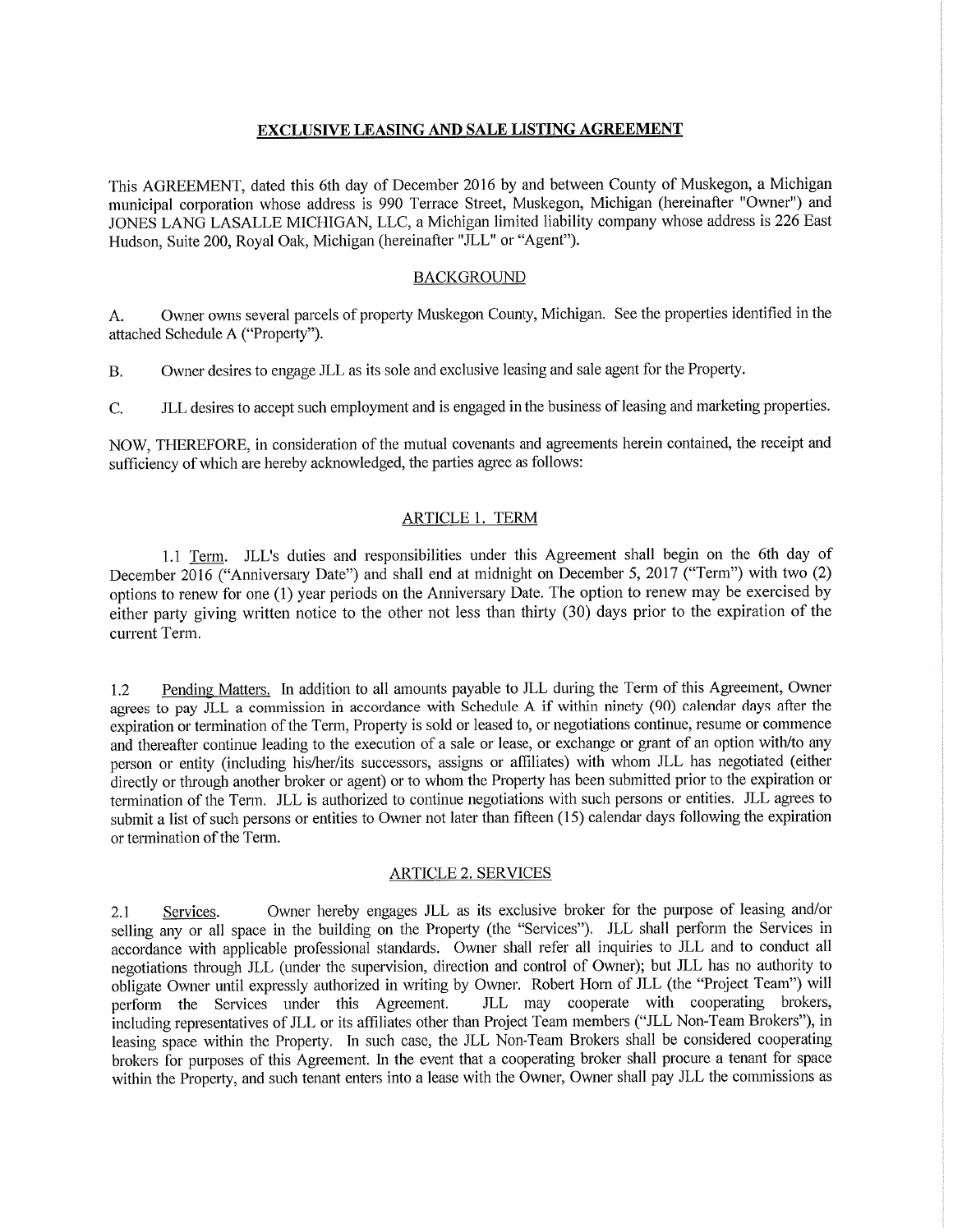### **EXCLUSIVE LEASING AND SALE LISTING AGREEMENT**

This AGREEMENT, dated this 6th day of December 2016 by and between County of Muskegon, a Michigan municipal corporation whose address is 990 Terrace Street, Muskegon, Michigan (hereinafter "Owner") and JONES LANG LASALLE MICHIGAN, LLC, a Michigan limited liability company whose address is 226 East Hudson, Suite 200, Royal Oak, Michigan (hereinafter "JLL" or "Agent").

### **BACKGROUND**

Owner owns several parcels of property Muskegon County, Michigan. See the properties identified in the A. attached Schedule A ("Property").

Owner desires to engage JLL as its sole and exclusive leasing and sale agent for the Property.  $B.$ 

JLL desires to accept such employment and is engaged in the business of leasing and marketing properties.  $\mathcal{C}$ .

NOW, THEREFORE, in consideration of the mutual covenants and agreements herein contained, the receipt and sufficiency of which are hereby acknowledged, the parties agree as follows:

### **ARTICLE 1. TERM**

1.1 Term. JLL's duties and responsibilities under this Agreement shall begin on the 6th day of December 2016 ("Anniversary Date") and shall end at midnight on December 5, 2017 ("Term") with two (2) options to renew for one (1) year periods on the Anniversary Date. The option to renew may be exercised by either party giving written notice to the other not less than thirty (30) days prior to the expiration of the current Term.

Pending Matters. In addition to all amounts payable to JLL during the Term of this Agreement, Owner  $1.2$ agrees to pay JLL a commission in accordance with Schedule A if within ninety (90) calendar days after the expiration or termination of the Term, Property is sold or leased to, or negotiations continue, resume or commence and thereafter continue leading to the execution of a sale or lease, or exchange or grant of an option with/to any person or entity (including his/her/its successors, assigns or affiliates) with whom JLL has negotiated (either directly or through another broker or agent) or to whom the Property has been submitted prior to the expiration or termination of the Term. JLL is authorized to continue negotiations with such persons or entities. JLL agrees to submit a list of such persons or entities to Owner not later than fifteen (15) calendar days following the expiration or termination of the Term.

### **ARTICLE 2. SERVICES**

Owner hereby engages JLL as its exclusive broker for the purpose of leasing and/or Services.  $2.1$ selling any or all space in the building on the Property (the "Services"). JLL shall perform the Services in accordance with applicable professional standards. Owner shall refer all inquiries to JLL and to conduct all negotiations through JLL (under the supervision, direction and control of Owner); but JLL has no authority to obligate Owner until expressly authorized in writing by Owner. Robert Horn of JLL (the "Project Team") will JLL may cooperate with cooperating brokers, perform the Services under this Agreement. including representatives of JLL or its affiliates other than Project Team members ("JLL Non-Team Brokers"), in leasing space within the Property. In such case, the JLL Non-Team Brokers shall be considered cooperating brokers for purposes of this Agreement. In the event that a cooperating broker shall procure a tenant for space within the Property, and such tenant enters into a lease with the Owner, Owner shall pay JLL the commissions as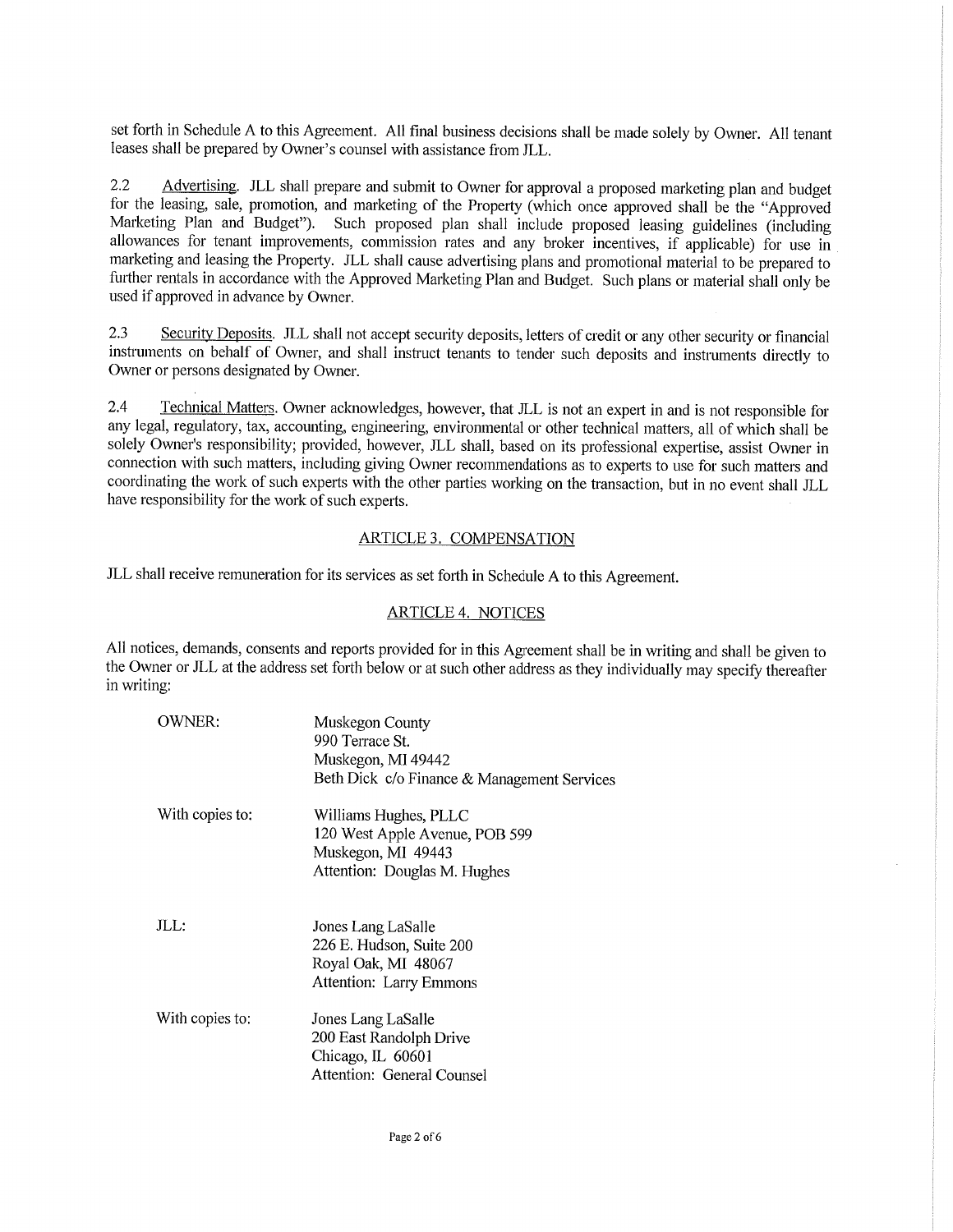set forth in Schedule A to this Agreement. All final business decisions shall be made solely by Owner. All tenant leases shall be prepared by Owner's counsel with assistance from JLL.

 $2.2$ Advertising. JLL shall prepare and submit to Owner for approval a proposed marketing plan and budget for the leasing, sale, promotion, and marketing of the Property (which once approved shall be the "Approved Marketing Plan and Budget"). Such proposed plan shall include proposed leasing guidelines (including allowances for tenant improvements, commission rates and any broker incentives, if applicable) for use in marketing and leasing the Property. JLL shall cause advertising plans and promotional material to be prepared to further rentals in accordance with the Approved Marketing Plan and Budget. Such plans or material shall only be used if approved in advance by Owner.

 $2.3$ Security Deposits. JLL shall not accept security deposits, letters of credit or any other security or financial instruments on behalf of Owner, and shall instruct tenants to tender such deposits and instruments directly to Owner or persons designated by Owner.

 $2.4$ Technical Matters. Owner acknowledges, however, that JLL is not an expert in and is not responsible for any legal, regulatory, tax, accounting, engineering, environmental or other technical matters, all of which shall be solely Owner's responsibility; provided, however, JLL shall, based on its professional expertise, assist Owner in connection with such matters, including giving Owner recommendations as to experts to use for such matters and coordinating the work of such experts with the other parties working on the transaction, but in no event shall JLL have responsibility for the work of such experts.

### ARTICLE 3. COMPENSATION

JLL shall receive remuneration for its services as set forth in Schedule A to this Agreement.

## **ARTICLE 4. NOTICES**

All notices, demands, consents and reports provided for in this Agreement shall be in writing and shall be given to the Owner or JLL at the address set forth below or at such other address as they individually may specify thereafter in writing:

| OWNER:          | Muskegon County<br>990 Terrace St.<br>Muskegon, MI 49442<br>Beth Dick c/o Finance & Management Services       |
|-----------------|---------------------------------------------------------------------------------------------------------------|
| With copies to: | Williams Hughes, PLLC<br>120 West Apple Avenue, POB 599<br>Muskegon, MI 49443<br>Attention: Douglas M. Hughes |
| JLL:            | Jones Lang LaSalle<br>226 E. Hudson, Suite 200<br>Royal Oak, MI 48067<br>Attention: Larry Emmons              |
| With copies to: | Jones Lang LaSalle<br>200 East Randolph Drive<br>Chicago, IL 60601<br>Attention: General Counsel              |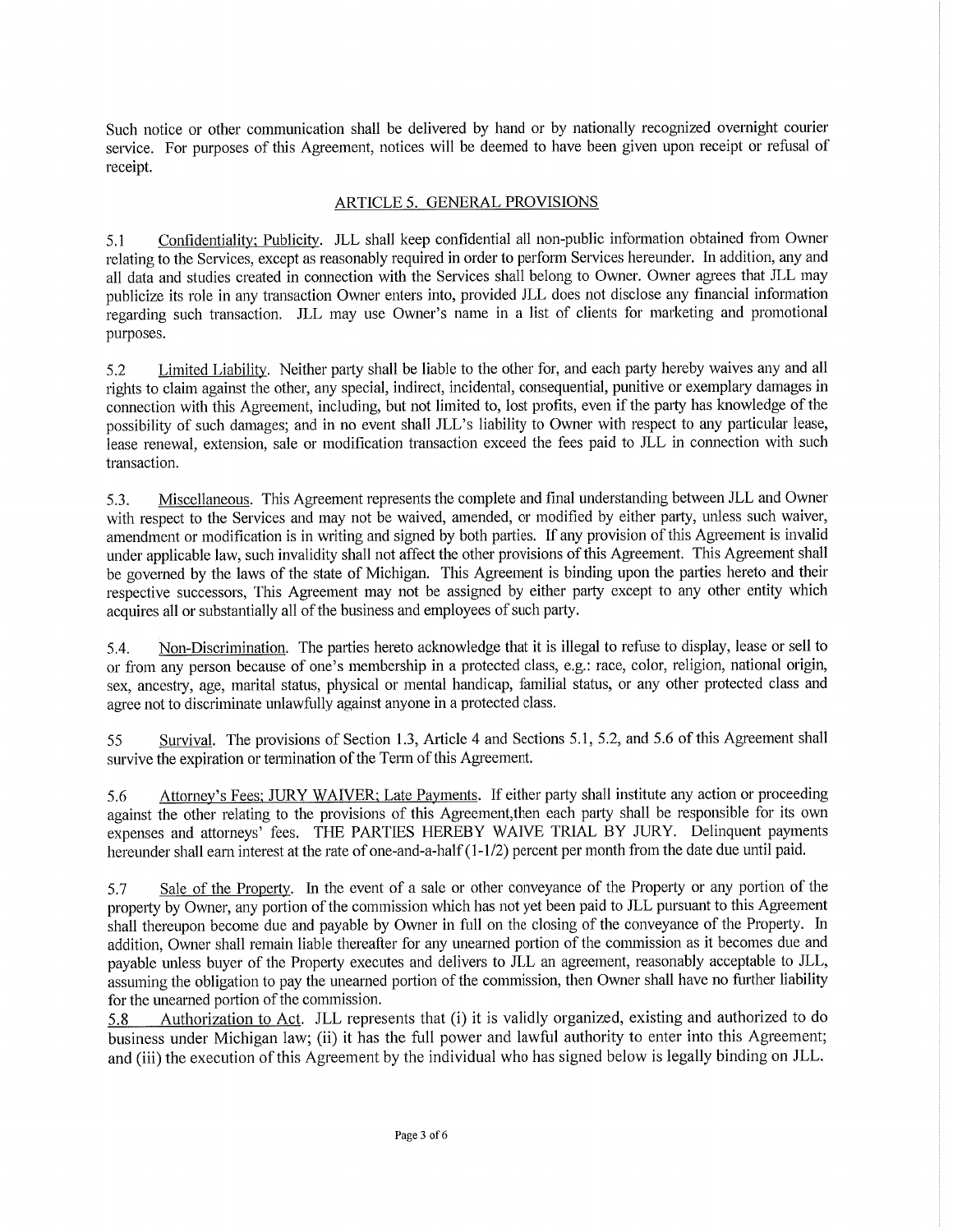Such notice or other communication shall be delivered by hand or by nationally recognized overnight courier service. For purposes of this Agreement, notices will be deemed to have been given upon receipt or refusal of receipt.

### ARTICLE 5. GENERAL PROVISIONS

Confidentiality; Publicity. JLL shall keep confidential all non-public information obtained from Owner  $5.1$ relating to the Services, except as reasonably required in order to perform Services hereunder. In addition, any and all data and studies created in connection with the Services shall belong to Owner. Owner agrees that JLL may publicize its role in any transaction Owner enters into, provided JLL does not disclose any financial information regarding such transaction. JLL may use Owner's name in a list of clients for marketing and promotional purposes.

 $5.2$ Limited Liability. Neither party shall be liable to the other for, and each party hereby waives any and all rights to claim against the other, any special, indirect, incidental, consequential, punitive or exemplary damages in connection with this Agreement, including, but not limited to, lost profits, even if the party has knowledge of the possibility of such damages; and in no event shall JLL's liability to Owner with respect to any particular lease. lease renewal, extension, sale or modification transaction exceed the fees paid to JLL in connection with such transaction.

Miscellaneous. This Agreement represents the complete and final understanding between JLL and Owner  $5.3.$ with respect to the Services and may not be waived, amended, or modified by either party, unless such waiver, amendment or modification is in writing and signed by both parties. If any provision of this Agreement is invalid under applicable law, such invalidity shall not affect the other provisions of this Agreement. This Agreement shall be governed by the laws of the state of Michigan. This Agreement is binding upon the parties hereto and their respective successors. This Agreement may not be assigned by either party except to any other entity which acquires all or substantially all of the business and employees of such party.

Non-Discrimination. The parties hereto acknowledge that it is illegal to refuse to display, lease or sell to 5.4. or from any person because of one's membership in a protected class, e.g.: race, color, religion, national origin, sex, ancestry, age, marital status, physical or mental handicap, familial status, or any other protected class and agree not to discriminate unlawfully against anyone in a protected class.

Survival. The provisions of Section 1.3, Article 4 and Sections 5.1, 5.2, and 5.6 of this Agreement shall 55 survive the expiration or termination of the Term of this Agreement.

Attorney's Fees; JURY WAIVER; Late Payments. If either party shall institute any action or proceeding 5.6 against the other relating to the provisions of this Agreement, then each party shall be responsible for its own expenses and attorneys' fees. THE PARTIES HEREBY WAIVE TRIAL BY JURY. Delinquent payments hereunder shall earn interest at the rate of one-and-a-half  $(1-1/2)$  percent per month from the date due until paid.

Sale of the Property. In the event of a sale or other conveyance of the Property or any portion of the 5.7 property by Owner, any portion of the commission which has not yet been paid to JLL pursuant to this Agreement shall thereupon become due and payable by Owner in full on the closing of the conveyance of the Property. In addition. Owner shall remain liable thereafter for any unearned portion of the commission as it becomes due and payable unless buyer of the Property executes and delivers to JLL an agreement, reasonably acceptable to JLL, assuming the obligation to pay the unearned portion of the commission, then Owner shall have no further liability for the unearned portion of the commission.

5.8 Authorization to Act. JLL represents that (i) it is validly organized, existing and authorized to do business under Michigan law; (ii) it has the full power and lawful authority to enter into this Agreement; and (iii) the execution of this Agreement by the individual who has signed below is legally binding on JLL.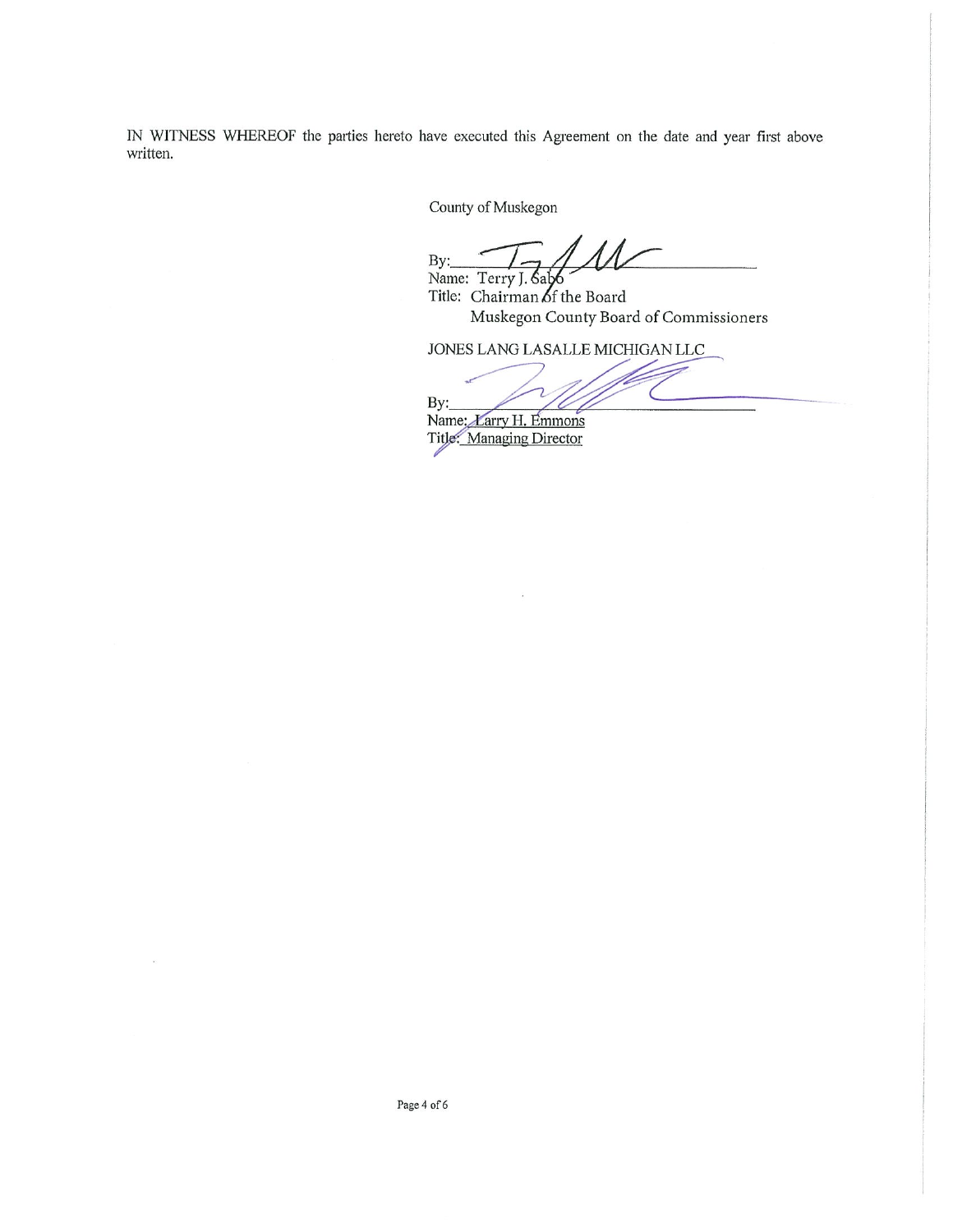IN WITNESS WHEREOF the parties hereto have executed this Agreement on the date and year first above written.

County of Muskegon

 $\Lambda$  $By:$ Name: Terry J. Sal

Title: Chairman of the Board Muskegon County Board of Commissioners

JONES LANG LASALLE MICHIGAN LLC

By:

Name: *Larry H. Emmons* Title: Managing Director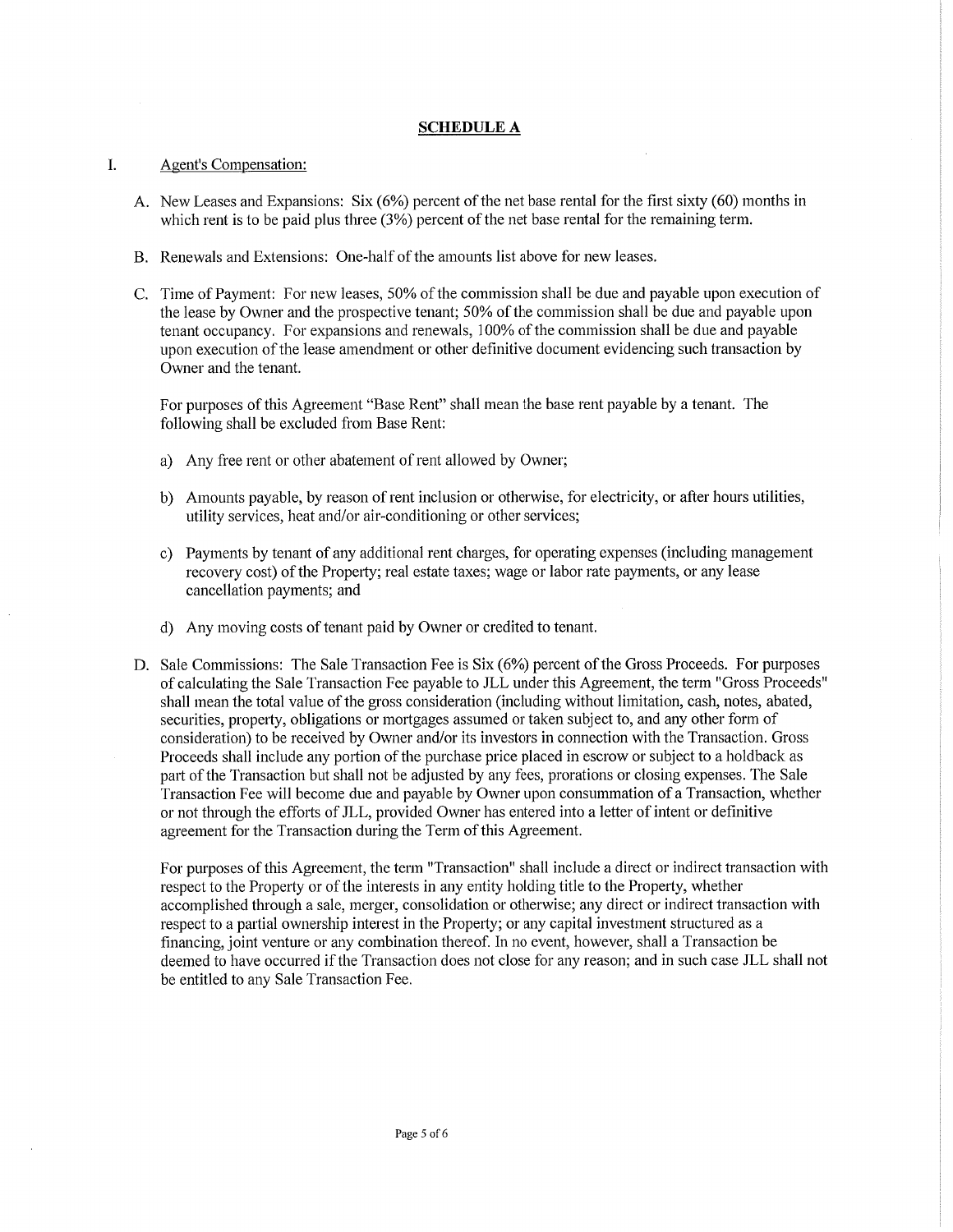### **SCHEDULE A**

#### L. Agent's Compensation:

- A. New Leases and Expansions: Six (6%) percent of the net base rental for the first sixty (60) months in which rent is to be paid plus three  $(3%)$  percent of the net base rental for the remaining term.
- B. Renewals and Extensions: One-half of the amounts list above for new leases.
- C. Time of Payment: For new leases, 50% of the commission shall be due and payable upon execution of the lease by Owner and the prospective tenant; 50% of the commission shall be due and payable upon tenant occupancy. For expansions and renewals, 100% of the commission shall be due and payable upon execution of the lease amendment or other definitive document evidencing such transaction by Owner and the tenant.

For purposes of this Agreement "Base Rent" shall mean the base rent payable by a tenant. The following shall be excluded from Base Rent:

- a) Any free rent or other abatement of rent allowed by Owner;
- b) Amounts payable, by reason of rent inclusion or otherwise, for electricity, or after hours utilities, utility services, heat and/or air-conditioning or other services;
- c) Payments by tenant of any additional rent charges, for operating expenses (including management recovery cost) of the Property; real estate taxes; wage or labor rate payments, or any lease cancellation payments; and
- d) Any moving costs of tenant paid by Owner or credited to tenant.
- D. Sale Commissions: The Sale Transaction Fee is Six (6%) percent of the Gross Proceeds. For purposes of calculating the Sale Transaction Fee payable to JLL under this Agreement, the term "Gross Proceeds" shall mean the total value of the gross consideration (including without limitation, cash, notes, abated, securities, property, obligations or mortgages assumed or taken subject to, and any other form of consideration) to be received by Owner and/or its investors in connection with the Transaction. Gross Proceeds shall include any portion of the purchase price placed in escrow or subject to a holdback as part of the Transaction but shall not be adjusted by any fees, prorations or closing expenses. The Sale Transaction Fee will become due and payable by Owner upon consummation of a Transaction, whether or not through the efforts of JLL, provided Owner has entered into a letter of intent or definitive agreement for the Transaction during the Term of this Agreement.

For purposes of this Agreement, the term "Transaction" shall include a direct or indirect transaction with respect to the Property or of the interests in any entity holding title to the Property, whether accomplished through a sale, merger, consolidation or otherwise; any direct or indirect transaction with respect to a partial ownership interest in the Property; or any capital investment structured as a financing, joint venture or any combination thereof. In no event, however, shall a Transaction be deemed to have occurred if the Transaction does not close for any reason; and in such case JLL shall not be entitled to any Sale Transaction Fee.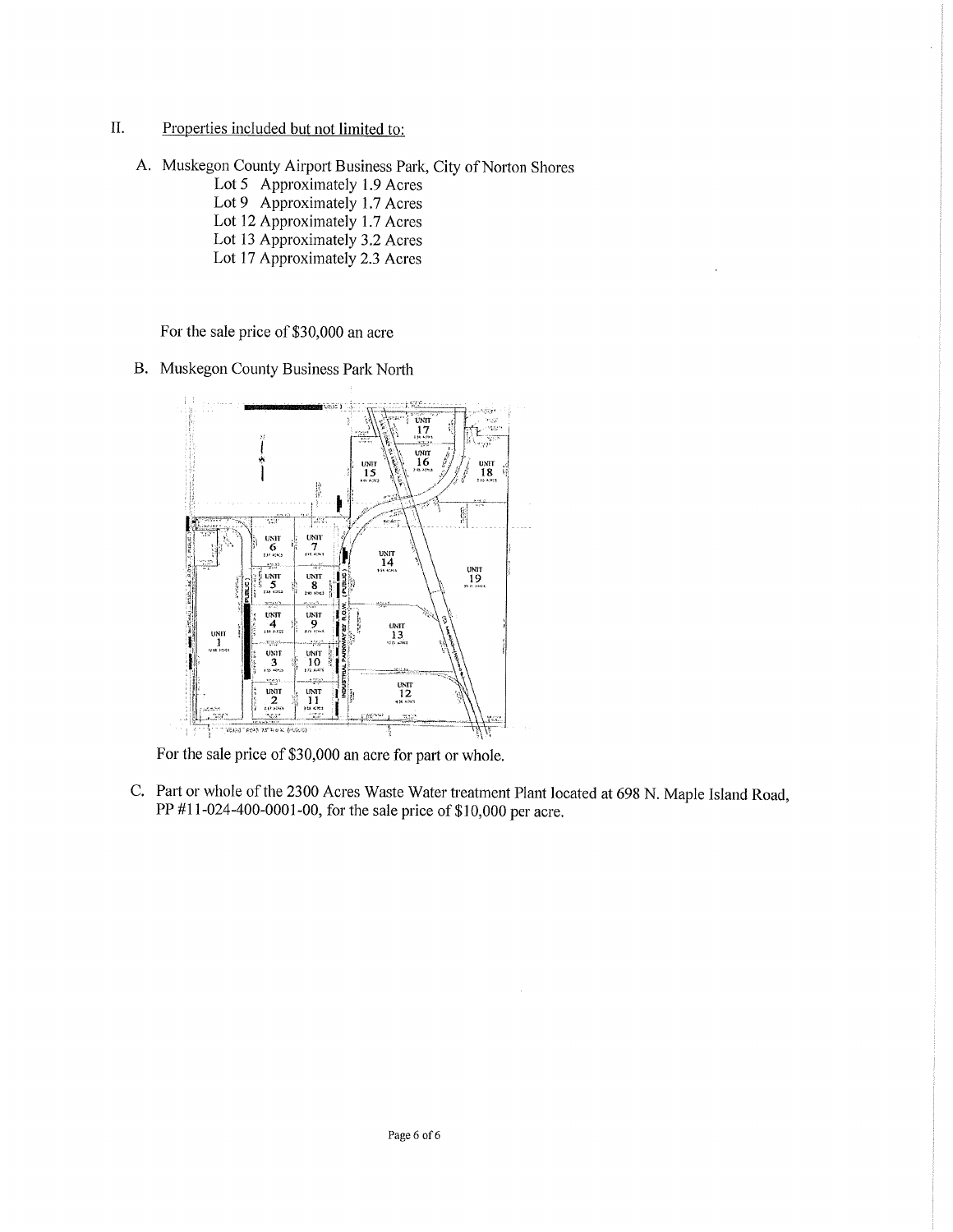- $\prod$ . Properties included but not limited to:
	- A. Muskegon County Airport Business Park, City of Norton Shores
		- Lot 5 Approximately 1.9 Acres Lot 9 Approximately 1.7 Acres
		- Lot 12 Approximately 1.7 Acres
		- Lot 13 Approximately 3.2 Acres
		- Lot 17 Approximately 2.3 Acres

For the sale price of \$30,000 an acre

B. Muskegon County Business Park North



For the sale price of \$30,000 an acre for part or whole.

C. Part or whole of the 2300 Acres Waste Water treatment Plant located at 698 N. Maple Island Road, PP #11-024-400-0001-00, for the sale price of \$10,000 per acre.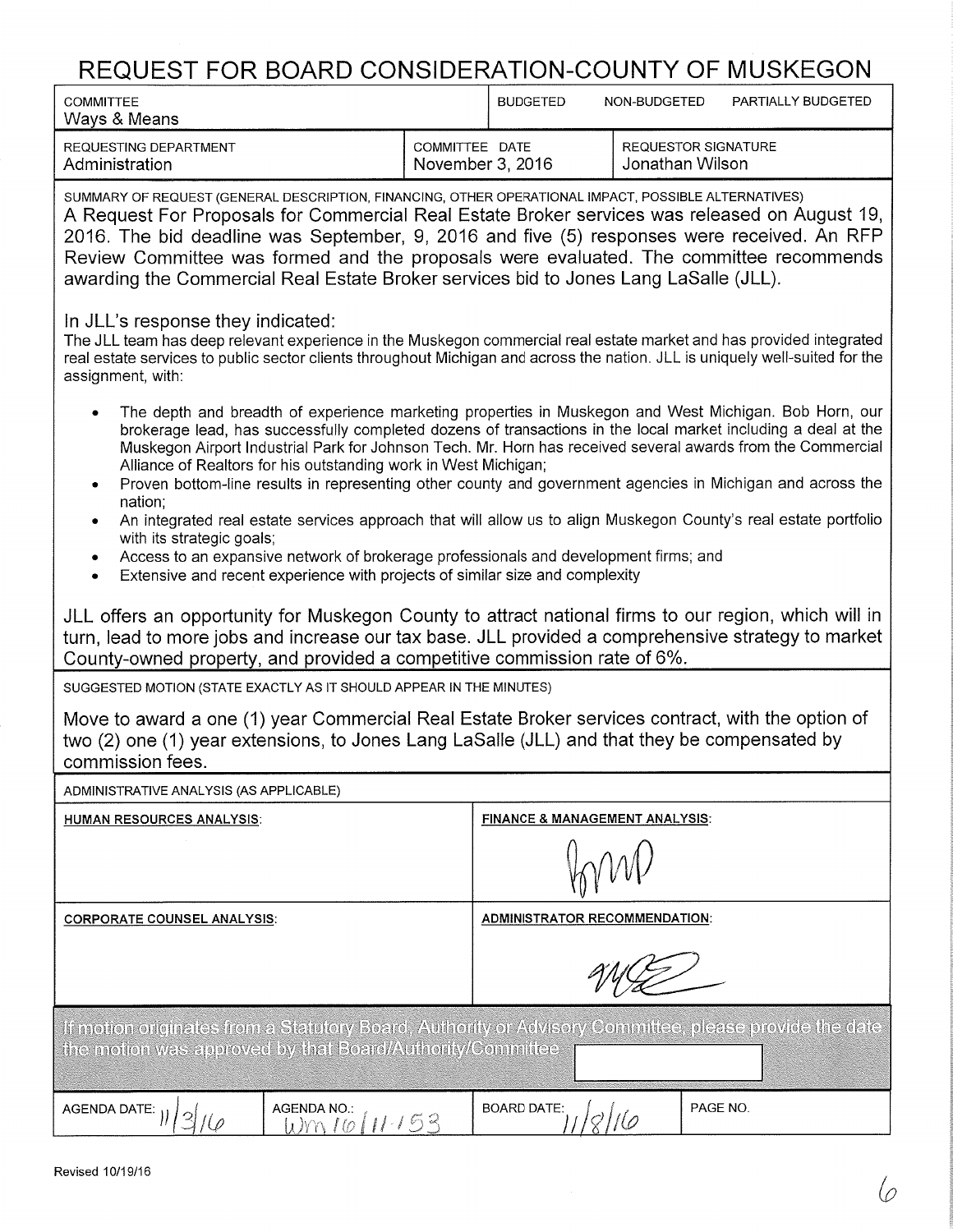# REQUEST FOR BOARD CONSIDERATION-COUNTY OF MUSKEGON

| <u>INLWULUT I UN DUAND UUNUIDLIVATIUN UUUNTI UI MIUUNLUUN</u>                                                                                                                                                                                                                                                                                                                                                                                                                                                                                                                                                                                                                          |                |                                                                   |                                           |          |                    |
|----------------------------------------------------------------------------------------------------------------------------------------------------------------------------------------------------------------------------------------------------------------------------------------------------------------------------------------------------------------------------------------------------------------------------------------------------------------------------------------------------------------------------------------------------------------------------------------------------------------------------------------------------------------------------------------|----------------|-------------------------------------------------------------------|-------------------------------------------|----------|--------------------|
| <b>COMMITTEE</b><br>Ways & Means                                                                                                                                                                                                                                                                                                                                                                                                                                                                                                                                                                                                                                                       |                | <b>BUDGETED</b>                                                   | NON-BUDGETED                              |          | PARTIALLY BUDGETED |
| REQUESTING DEPARTMENT<br>Administration                                                                                                                                                                                                                                                                                                                                                                                                                                                                                                                                                                                                                                                | COMMITTEE DATE | <b>REQUESTOR SIGNATURE</b><br>November 3, 2016<br>Jonathan Wilson |                                           |          |                    |
| SUMMARY OF REQUEST (GENERAL DESCRIPTION, FINANCING, OTHER OPERATIONAL IMPACT, POSSIBLE ALTERNATIVES)<br>A Request For Proposals for Commercial Real Estate Broker services was released on August 19,<br>2016. The bid deadline was September, 9, 2016 and five (5) responses were received. An RFP<br>Review Committee was formed and the proposals were evaluated. The committee recommends<br>awarding the Commercial Real Estate Broker services bid to Jones Lang LaSalle (JLL).                                                                                                                                                                                                  |                |                                                                   |                                           |          |                    |
| In JLL's response they indicated:<br>The JLL team has deep relevant experience in the Muskegon commercial real estate market and has provided integrated<br>real estate services to public sector clients throughout Michigan and across the nation. JLL is uniquely well-suited for the<br>assignment, with:                                                                                                                                                                                                                                                                                                                                                                          |                |                                                                   |                                           |          |                    |
| The depth and breadth of experience marketing properties in Muskegon and West Michigan. Bob Horn, our<br>brokerage lead, has successfully completed dozens of transactions in the local market including a deal at the<br>Muskegon Airport Industrial Park for Johnson Tech. Mr. Horn has received several awards from the Commercial<br>Alliance of Realtors for his outstanding work in West Michigan;<br>Proven bottom-line results in representing other county and government agencies in Michigan and across the<br>٠<br>nation;<br>An integrated real estate services approach that will allow us to align Muskegon County's real estate portfolio<br>with its strategic goals; |                |                                                                   |                                           |          |                    |
| Access to an expansive network of brokerage professionals and development firms; and<br>۰<br>Extensive and recent experience with projects of similar size and complexity<br>$\bullet$                                                                                                                                                                                                                                                                                                                                                                                                                                                                                                 |                |                                                                   |                                           |          |                    |
| JLL offers an opportunity for Muskegon County to attract national firms to our region, which will in<br>turn, lead to more jobs and increase our tax base. JLL provided a comprehensive strategy to market<br>County-owned property, and provided a competitive commission rate of 6%.                                                                                                                                                                                                                                                                                                                                                                                                 |                |                                                                   |                                           |          |                    |
| SUGGESTED MOTION (STATE EXACTLY AS IT SHOULD APPEAR IN THE MINUTES)                                                                                                                                                                                                                                                                                                                                                                                                                                                                                                                                                                                                                    |                |                                                                   |                                           |          |                    |
| Move to award a one (1) year Commercial Real Estate Broker services contract, with the option of<br>two (2) one (1) year extensions, to Jones Lang LaSalle (JLL) and that they be compensated by<br>commission fees.                                                                                                                                                                                                                                                                                                                                                                                                                                                                   |                |                                                                   |                                           |          |                    |
| ADMINISTRATIVE ANALYSIS (AS APPLICABLE)                                                                                                                                                                                                                                                                                                                                                                                                                                                                                                                                                                                                                                                |                |                                                                   |                                           |          |                    |
| <b>HUMAN RESOURCES ANALYSIS:</b>                                                                                                                                                                                                                                                                                                                                                                                                                                                                                                                                                                                                                                                       |                |                                                                   | <b>FINANCE &amp; MANAGEMENT ANALYSIS:</b> |          |                    |
|                                                                                                                                                                                                                                                                                                                                                                                                                                                                                                                                                                                                                                                                                        |                |                                                                   |                                           |          |                    |
| <b>CORPORATE COUNSEL ANALYSIS:</b>                                                                                                                                                                                                                                                                                                                                                                                                                                                                                                                                                                                                                                                     |                | <b>ADMINISTRATOR RECOMMENDATION:</b>                              |                                           |          |                    |
|                                                                                                                                                                                                                                                                                                                                                                                                                                                                                                                                                                                                                                                                                        |                |                                                                   |                                           |          |                    |
| If motion originates from a Statutory Board, Authority or Advisory Committee, please provide the date<br>the motion was approved by that Board/Authority/Committee                                                                                                                                                                                                                                                                                                                                                                                                                                                                                                                     |                |                                                                   |                                           |          |                    |
| <b>AGENDA NO.:</b><br><b>AGENDA DATE:</b><br><u> Wm16/11-153</u>                                                                                                                                                                                                                                                                                                                                                                                                                                                                                                                                                                                                                       |                | <b>BOARD DATE:</b>                                                |                                           | PAGE NO. |                    |
|                                                                                                                                                                                                                                                                                                                                                                                                                                                                                                                                                                                                                                                                                        |                |                                                                   |                                           |          |                    |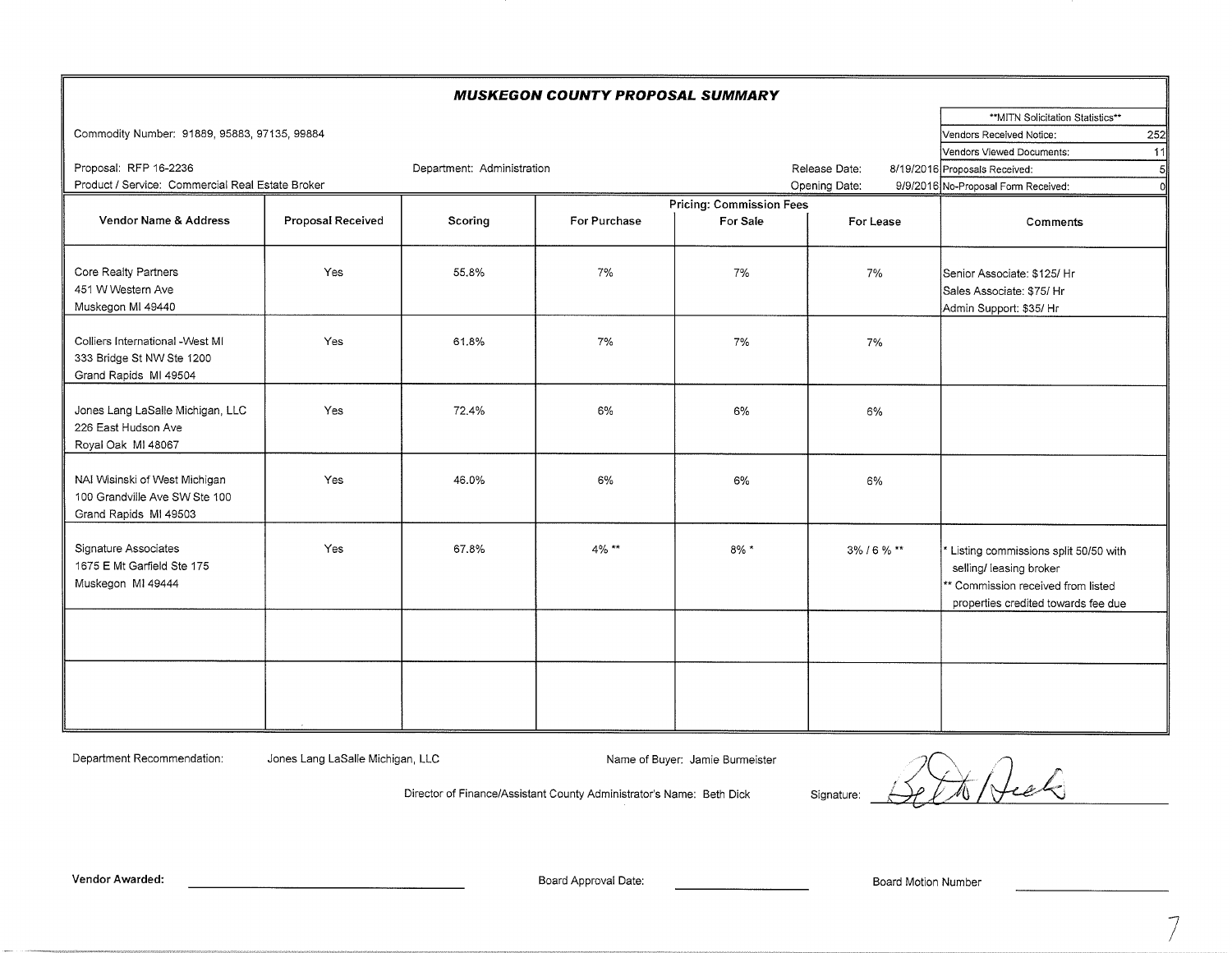| <b>MUSKEGON COUNTY PROPOSAL SUMMARY</b>      |                                                                                                          |                            |              |                                 |                |                                            |
|----------------------------------------------|----------------------------------------------------------------------------------------------------------|----------------------------|--------------|---------------------------------|----------------|--------------------------------------------|
|                                              |                                                                                                          |                            |              |                                 |                | ** MITN Solicitation Statistics**          |
| Commodity Number: 91889, 95883, 97135, 99884 |                                                                                                          |                            |              |                                 |                | 252<br>Vendors Received Notice:            |
|                                              |                                                                                                          |                            |              |                                 |                | Vendors Viewed Documents:<br>11            |
| Proposal: RFP 16-2236                        |                                                                                                          | Department: Administration |              |                                 | Release Date:  | 8/19/2016 Proposals Received:<br>$5 \vert$ |
|                                              | Product / Service: Commercial Real Estate Broker<br>Opening Date:<br>9/9/2016 No-Proposal Form Received: |                            |              |                                 |                |                                            |
|                                              |                                                                                                          |                            |              | <b>Pricing: Commission Fees</b> |                |                                            |
| Vendor Name & Address                        | Proposal Received                                                                                        | Scoring                    | For Purchase | For Sale                        | For Lease      | Comments                                   |
|                                              |                                                                                                          |                            |              |                                 |                |                                            |
| Core Realty Partners                         | Yes                                                                                                      | 55.8%                      | 7%           | 7%                              | 7%             | Senior Associate: \$125/ Hr                |
| 451 W Western Ave                            |                                                                                                          |                            |              |                                 |                | Sales Associate: \$75/ Hr                  |
| Muskegon MI 49440                            |                                                                                                          |                            |              |                                 |                | Admin Support: \$35/ Hr                    |
|                                              |                                                                                                          |                            |              |                                 |                |                                            |
| Colliers International - West MI             | Yes                                                                                                      | 61.8%                      | 7%           | 7%                              | 7%             |                                            |
| 333 Bridge St NW Ste 1200                    |                                                                                                          |                            |              |                                 |                |                                            |
| Grand Rapids MI 49504                        |                                                                                                          |                            |              |                                 |                |                                            |
|                                              |                                                                                                          |                            |              |                                 |                |                                            |
| Jones Lang LaSalle Michigan, LLC             | <b>Yes</b>                                                                                               | 72.4%                      | 6%           | 6%                              | 6%             |                                            |
| 226 East Hudson Ave                          |                                                                                                          |                            |              |                                 |                |                                            |
| Royal Oak MI 48067                           |                                                                                                          |                            |              |                                 |                |                                            |
| NAI Wisinski of West Michigan                | Yes                                                                                                      | 46.0%                      | 6%           | 6%                              | 6%             |                                            |
| 100 Grandville Ave SW Ste 100                |                                                                                                          |                            |              |                                 |                |                                            |
| Grand Rapids MI 49503                        |                                                                                                          |                            |              |                                 |                |                                            |
|                                              |                                                                                                          |                            |              |                                 |                |                                            |
| Signature Associates                         | Yes                                                                                                      | 67.8%                      | 4% **        | $8\%$ *                         | $3\%$ / 6 % ** | Listing commissions split 50/50 with       |
| 1675 E Mt Garfield Ste 175                   |                                                                                                          |                            |              |                                 |                | selling/ leasing broker                    |
| Muskegon MI 49444                            |                                                                                                          |                            |              |                                 |                | ** Commission received from listed         |
|                                              |                                                                                                          |                            |              |                                 |                | properties credited towards fee due        |
|                                              |                                                                                                          |                            |              |                                 |                |                                            |
|                                              |                                                                                                          |                            |              |                                 |                |                                            |
|                                              |                                                                                                          |                            |              |                                 |                |                                            |
|                                              |                                                                                                          |                            |              |                                 |                |                                            |
|                                              |                                                                                                          |                            |              |                                 |                |                                            |
|                                              |                                                                                                          |                            |              |                                 |                |                                            |

Department Recommendation:

Jones Lang LaSalle Michigan, LLC

Name of Buyer: Jamie Burmeister

 $\frac{1}{2}$ Signature:

Board Approval Date:

Director of Finance/Assistant County Administrator's Name: Beth Dick